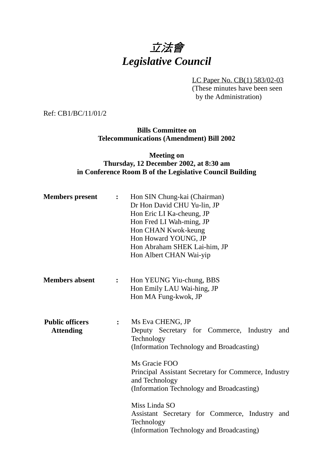# 立法會 *Legislative Council*

LC Paper No. CB(1) 583/02-03 (These minutes have been seen by the Administration)

Ref: CB1/BC/11/01/2

**Bills Committee on Telecommunications (Amendment) Bill 2002**

#### **Meeting on Thursday, 12 December 2002, at 8:30 am in Conference Room B of the Legislative Council Building**

| <b>Members</b> present                     | $\ddot{\bullet}$ | Hon SIN Chung-kai (Chairman)<br>Dr Hon David CHU Yu-lin, JP<br>Hon Eric LI Ka-cheung, JP<br>Hon Fred LI Wah-ming, JP<br>Hon CHAN Kwok-keung<br>Hon Howard YOUNG, JP<br>Hon Abraham SHEK Lai-him, JP<br>Hon Albert CHAN Wai-yip                                        |
|--------------------------------------------|------------------|-----------------------------------------------------------------------------------------------------------------------------------------------------------------------------------------------------------------------------------------------------------------------|
| <b>Members absent</b>                      | $\ddot{\bullet}$ | Hon YEUNG Yiu-chung, BBS<br>Hon Emily LAU Wai-hing, JP<br>Hon MA Fung-kwok, JP                                                                                                                                                                                        |
| <b>Public officers</b><br><b>Attending</b> | :                | Ms Eva CHENG, JP<br>Deputy Secretary for Commerce, Industry<br>and<br>Technology<br>(Information Technology and Broadcasting)<br>Ms Gracie FOO<br>Principal Assistant Secretary for Commerce, Industry<br>and Technology<br>(Information Technology and Broadcasting) |
|                                            |                  | Miss Linda SO<br>Assistant Secretary for Commerce, Industry and<br>Technology<br>(Information Technology and Broadcasting)                                                                                                                                            |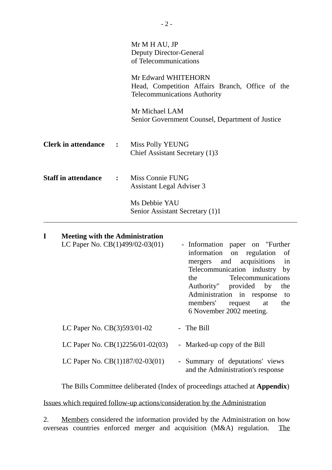| Mr Edward WHITEHORN<br>Head, Competition Affairs Branch, Office of the<br><b>Telecommunications Authority</b> | Mr M H AU, JP<br><b>Deputy Director-General</b><br>of Telecommunications |  |  |  |
|---------------------------------------------------------------------------------------------------------------|--------------------------------------------------------------------------|--|--|--|
|                                                                                                               |                                                                          |  |  |  |
| Mr Michael LAM<br>Senior Government Counsel, Department of Justice                                            |                                                                          |  |  |  |
| <b>Clerk in attendance :</b><br>Miss Polly YEUNG<br>Chief Assistant Secretary (1)3                            |                                                                          |  |  |  |
| <b>Staff in attendance : Miss Connie FUNG</b><br><b>Assistant Legal Adviser 3</b>                             |                                                                          |  |  |  |
| Ms Debbie YAU<br>Senior Assistant Secretary (1)1                                                              |                                                                          |  |  |  |

| I | <b>Meeting with the Administration</b> |                                                                              |
|---|----------------------------------------|------------------------------------------------------------------------------|
|   | LC Paper No. CB(1)499/02-03(01)        | - Information paper on "Further                                              |
|   |                                        | information on regulation<br>of                                              |
|   |                                        | in<br>mergers and acquisitions                                               |
|   |                                        | Telecommunication industry<br>by                                             |
|   |                                        | the Telecommunications                                                       |
|   |                                        | Authority" provided by<br>the                                                |
|   |                                        | Administration in response<br>to                                             |
|   |                                        | members' request at<br>the<br>6 November 2002 meeting.                       |
|   |                                        |                                                                              |
|   | LC Paper No. CB(3)593/01-02            | - The Bill                                                                   |
|   | LC Paper No. $CB(1)2256/01-02(03)$     | - Marked-up copy of the Bill                                                 |
|   | LC Paper No. CB(1)187/02-03(01)        | Summary of deputations' views<br>$\sim$<br>and the Administration's response |

1. The Bills Committee deliberated (Index of proceedings attached at **Appendix**)

Issues which required follow-up actions/consideration by the Administration

2. Members considered the information provided by the Administration on how overseas countries enforced merger and acquisition (M&A) regulation. The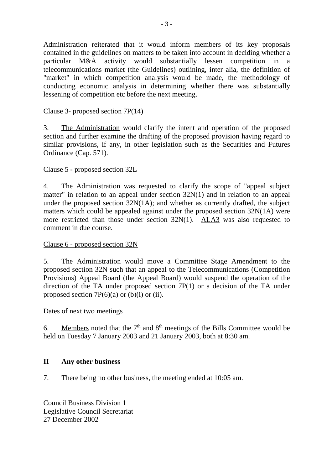Administration reiterated that it would inform members of its key proposals contained in the guidelines on matters to be taken into account in deciding whether a particular M&A activity would substantially lessen competition in a telecommunications market (the Guidelines) outlining, inter alia, the definition of "market" in which competition analysis would be made, the methodology of conducting economic analysis in determining whether there was substantially lessening of competition etc before the next meeting.

#### Clause 3- proposed section 7P(14)

3. The Administration would clarify the intent and operation of the proposed section and further examine the drafting of the proposed provision having regard to similar provisions, if any, in other legislation such as the Securities and Futures Ordinance (Cap. 571).

#### Clause 5 - proposed section 32L

4. The Administration was requested to clarify the scope of "appeal subject matter" in relation to an appeal under section 32N(1) and in relation to an appeal under the proposed section 32N(1A); and whether as currently drafted, the subject matters which could be appealed against under the proposed section 32N(1A) were more restricted than those under section 32N(1). ALA3 was also requested to comment in due course.

#### Clause 6 - proposed section 32N

5. The Administration would move a Committee Stage Amendment to the proposed section 32N such that an appeal to the Telecommunications (Competition Provisions) Appeal Board (the Appeal Board) would suspend the operation of the direction of the TA under proposed section 7P(1) or a decision of the TA under proposed section  $7P(6)(a)$  or (b)(i) or (ii).

#### Dates of next two meetings

6. Members noted that the  $7<sup>th</sup>$  and  $8<sup>th</sup>$  meetings of the Bills Committee would be held on Tuesday 7 January 2003 and 21 January 2003, both at 8:30 am.

#### **II Any other business**

7. There being no other business, the meeting ended at 10:05 am.

Council Business Division 1 Legislative Council Secretariat 27 December 2002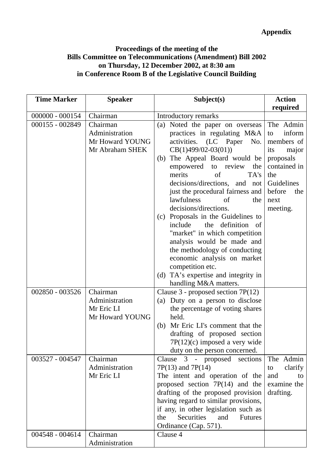### **Proceedings of the meeting of the Bills Committee on Telecommunications (Amendment) Bill 2002 on Thursday, 12 December 2002, at 8:30 am in Conference Room B of the Legislative Council Building**

| <b>Time Marker</b>                 | <b>Speaker</b>                                                                                          | Subject(s)                                                                                                                                                                                                                                                                                                                                                                                                                                                                                                                                                                                                                | <b>Action</b>                                                                                                                                  |
|------------------------------------|---------------------------------------------------------------------------------------------------------|---------------------------------------------------------------------------------------------------------------------------------------------------------------------------------------------------------------------------------------------------------------------------------------------------------------------------------------------------------------------------------------------------------------------------------------------------------------------------------------------------------------------------------------------------------------------------------------------------------------------------|------------------------------------------------------------------------------------------------------------------------------------------------|
|                                    |                                                                                                         |                                                                                                                                                                                                                                                                                                                                                                                                                                                                                                                                                                                                                           | required                                                                                                                                       |
| $000000 - 000154$                  | Chairman                                                                                                | Introductory remarks                                                                                                                                                                                                                                                                                                                                                                                                                                                                                                                                                                                                      |                                                                                                                                                |
| 000155 - 002849                    | Chairman<br>Administration<br>Mr Howard YOUNG<br>Mr Abraham SHEK                                        | (a) Noted the paper on overseas<br>practices in regulating M&A<br>activities. (LC Paper No.<br>$CB(1)499/02-03(01))$<br>(b) The Appeal Board would be<br>empowered to<br>the<br>review<br>merits<br>of<br>TA's<br>decisions/directions, and not<br>just the procedural fairness and<br>lawfulness<br>of<br>the<br>decisions/directions.<br>(c) Proposals in the Guidelines to<br>the definition of<br>include<br>"market" in which competition<br>analysis would be made and<br>the methodology of conducting<br>economic analysis on market<br>competition etc.<br>(d) TA's expertise and integrity in                   | The Admin<br>inform<br>to<br>members of<br>its<br>major<br>proposals<br>contained in<br>the<br>Guidelines<br>before<br>the<br>next<br>meeting. |
| 002850 - 003526<br>003527 - 004547 | Chairman<br>Administration<br>Mr Eric LI<br>Mr Howard YOUNG<br>Chairman<br>Administration<br>Mr Eric LI | handling M&A matters.<br>Clause $3$ - proposed section $7P(12)$<br>(a) Duty on a person to disclose<br>the percentage of voting shares<br>held.<br>Mr Eric LI's comment that the<br>(b)<br>drafting of proposed section<br>$7P(12)(c)$ imposed a very wide<br>duty on the person concerned.<br>Clause 3 - proposed sections<br>$7P(13)$ and $7P(14)$<br>The intent and operation of the<br>proposed section $7P(14)$ and the<br>drafting of the proposed provision<br>having regard to similar provisions,<br>if any, in other legislation such as<br>Securities<br>and<br>the<br><b>Futures</b><br>Ordinance (Cap. 571). | The Admin<br>clarify<br>to<br>and<br>to<br>examine the<br>drafting.                                                                            |
| 004548 - 004614                    | Chairman<br>Administration                                                                              | Clause 4                                                                                                                                                                                                                                                                                                                                                                                                                                                                                                                                                                                                                  |                                                                                                                                                |